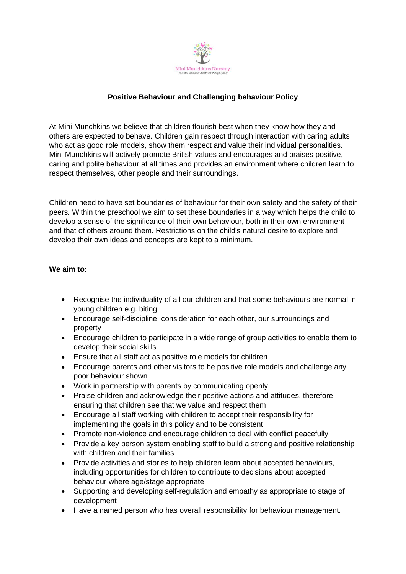

### **Positive Behaviour and Challenging behaviour Policy**

At Mini Munchkins we believe that children flourish best when they know how they and others are expected to behave. Children gain respect through interaction with caring adults who act as good role models, show them respect and value their individual personalities. Mini Munchkins will actively promote British values and encourages and praises positive, caring and polite behaviour at all times and provides an environment where children learn to respect themselves, other people and their surroundings.

Children need to have set boundaries of behaviour for their own safety and the safety of their peers. Within the preschool we aim to set these boundaries in a way which helps the child to develop a sense of the significance of their own behaviour, both in their own environment and that of others around them. Restrictions on the child's natural desire to explore and develop their own ideas and concepts are kept to a minimum.

### **We aim to:**

- Recognise the individuality of all our children and that some behaviours are normal in young children e.g. biting
- Encourage self-discipline, consideration for each other, our surroundings and property
- Encourage children to participate in a wide range of group activities to enable them to develop their social skills
- Ensure that all staff act as positive role models for children
- Encourage parents and other visitors to be positive role models and challenge any poor behaviour shown
- Work in partnership with parents by communicating openly
- Praise children and acknowledge their positive actions and attitudes, therefore ensuring that children see that we value and respect them
- Encourage all staff working with children to accept their responsibility for implementing the goals in this policy and to be consistent
- Promote non-violence and encourage children to deal with conflict peacefully
- Provide a key person system enabling staff to build a strong and positive relationship with children and their families
- Provide activities and stories to help children learn about accepted behaviours, including opportunities for children to contribute to decisions about accepted behaviour where age/stage appropriate
- Supporting and developing self-regulation and empathy as appropriate to stage of development
- Have a named person who has overall responsibility for behaviour management.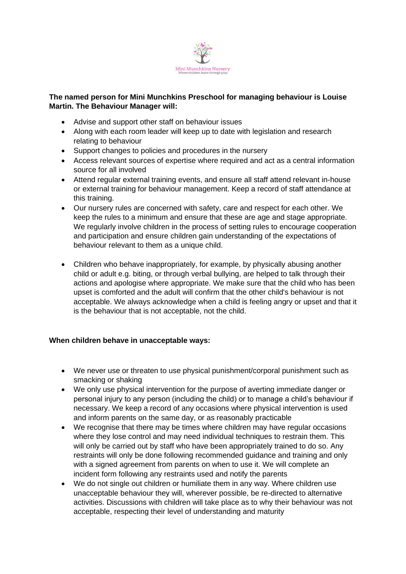

# **The named person for Mini Munchkins Preschool for managing behaviour is Louise Martin. The Behaviour Manager will:**

- Advise and support other staff on behaviour issues
- Along with each room leader will keep up to date with legislation and research relating to behaviour
- Support changes to policies and procedures in the nursery
- Access relevant sources of expertise where required and act as a central information source for all involved
- Attend regular external training events, and ensure all staff attend relevant in-house or external training for behaviour management. Keep a record of staff attendance at this training.
- Our nursery rules are concerned with safety, care and respect for each other. We keep the rules to a minimum and ensure that these are age and stage appropriate. We regularly involve children in the process of setting rules to encourage cooperation and participation and ensure children gain understanding of the expectations of behaviour relevant to them as a unique child.
- Children who behave inappropriately, for example, by physically abusing another child or adult e.g. biting, or through verbal bullying, are helped to talk through their actions and apologise where appropriate. We make sure that the child who has been upset is comforted and the adult will confirm that the other child's behaviour is not acceptable. We always acknowledge when a child is feeling angry or upset and that it is the behaviour that is not acceptable, not the child.

# **When children behave in unacceptable ways:**

- We never use or threaten to use physical punishment/corporal punishment such as smacking or shaking
- We only use physical intervention for the purpose of averting immediate danger or personal injury to any person (including the child) or to manage a child's behaviour if necessary. We keep a record of any occasions where physical intervention is used and inform parents on the same day, or as reasonably practicable
- We recognise that there may be times where children may have regular occasions where they lose control and may need individual techniques to restrain them. This will only be carried out by staff who have been appropriately trained to do so. Any restraints will only be done following recommended guidance and training and only with a signed agreement from parents on when to use it. We will complete an incident form following any restraints used and notify the parents
- We do not single out children or humiliate them in any way. Where children use unacceptable behaviour they will, wherever possible, be re-directed to alternative activities. Discussions with children will take place as to why their behaviour was not acceptable, respecting their level of understanding and maturity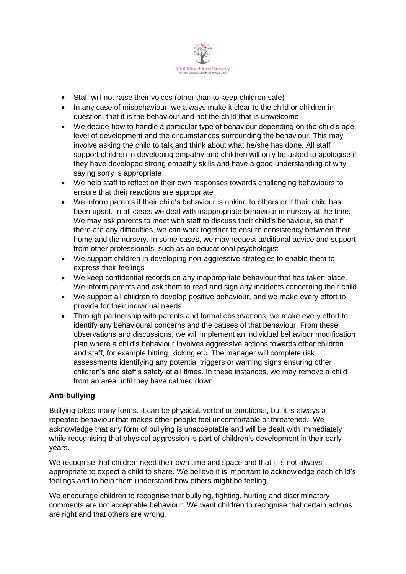

- Staff will not raise their voices (other than to keep children safe)
- In any case of misbehaviour, we always make it clear to the child or children in question, that it is the behaviour and not the child that is unwelcome
- We decide how to handle a particular type of behaviour depending on the child's age, level of development and the circumstances surrounding the behaviour. This may involve asking the child to talk and think about what he/she has done. All staff support children in developing empathy and children will only be asked to apologise if they have developed strong empathy skills and have a good understanding of why saying sorry is appropriate
- We help staff to reflect on their own responses towards challenging behaviours to ensure that their reactions are appropriate
- We inform parents if their child's behaviour is unkind to others or if their child has been upset. In all cases we deal with inappropriate behaviour in nursery at the time. We may ask parents to meet with staff to discuss their child's behaviour, so that if there are any difficulties, we can work together to ensure consistency between their home and the nursery. In some cases, we may request additional advice and support from other professionals, such as an educational psychologist
- We support children in developing non-aggressive strategies to enable them to express their feelings
- We keep confidential records on any inappropriate behaviour that has taken place. We inform parents and ask them to read and sign any incidents concerning their child
- We support all children to develop positive behaviour, and we make every effort to provide for their individual needs
- Through partnership with parents and formal observations, we make every effort to identify any behavioural concerns and the causes of that behaviour. From these observations and discussions, we will implement an individual behaviour modification plan where a child's behaviour involves aggressive actions towards other children and staff, for example hitting, kicking etc. The manager will complete risk assessments identifying any potential triggers or warning signs ensuring other children's and staff's safety at all times. In these instances, we may remove a child from an area until they have calmed down.

### **Anti-bullying**

Bullying takes many forms. It can be physical, verbal or emotional, but it is always a repeated behaviour that makes other people feel uncomfortable or threatened. We acknowledge that any form of bullying is unacceptable and will be dealt with immediately while recognising that physical aggression is part of children's development in their early years.

We recognise that children need their own time and space and that it is not always appropriate to expect a child to share. We believe it is important to acknowledge each child's feelings and to help them understand how others might be feeling.

We encourage children to recognise that bullying, fighting, hurting and discriminatory comments are not acceptable behaviour. We want children to recognise that certain actions are right and that others are wrong.